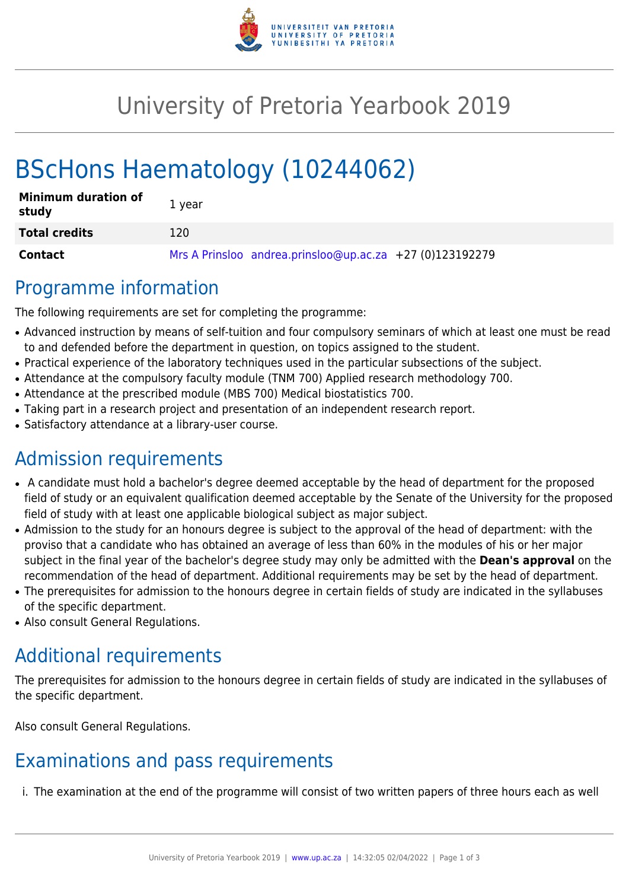

# University of Pretoria Yearbook 2019

# BScHons Haematology (10244062)

| <b>Minimum duration of</b><br>study | 1 year                                                   |
|-------------------------------------|----------------------------------------------------------|
| <b>Total credits</b>                | 120                                                      |
| Contact                             | Mrs A Prinsloo andrea.prinsloo@up.ac.za +27 (0)123192279 |

#### Programme information

The following requirements are set for completing the programme:

- Advanced instruction by means of self-tuition and four compulsory seminars of which at least one must be read to and defended before the department in question, on topics assigned to the student.
- Practical experience of the laboratory techniques used in the particular subsections of the subject.
- Attendance at the compulsory faculty module (TNM 700) Applied research methodology 700.
- Attendance at the prescribed module (MBS 700) Medical biostatistics 700.
- Taking part in a research project and presentation of an independent research report.
- Satisfactory attendance at a library-user course.

## Admission requirements

- A candidate must hold a bachelor's degree deemed acceptable by the head of department for the proposed field of study or an equivalent qualification deemed acceptable by the Senate of the University for the proposed field of study with at least one applicable biological subject as major subject.
- Admission to the study for an honours degree is subject to the approval of the head of department: with the proviso that a candidate who has obtained an average of less than 60% in the modules of his or her major subject in the final year of the bachelor's degree study may only be admitted with the **Dean's approval** on the recommendation of the head of department. Additional requirements may be set by the head of department.
- The prerequisites for admission to the honours degree in certain fields of study are indicated in the syllabuses of the specific department.
- Also consult General Regulations.

## Additional requirements

The prerequisites for admission to the honours degree in certain fields of study are indicated in the syllabuses of the specific department.

Also consult General Regulations.

## Examinations and pass requirements

i. The examination at the end of the programme will consist of two written papers of three hours each as well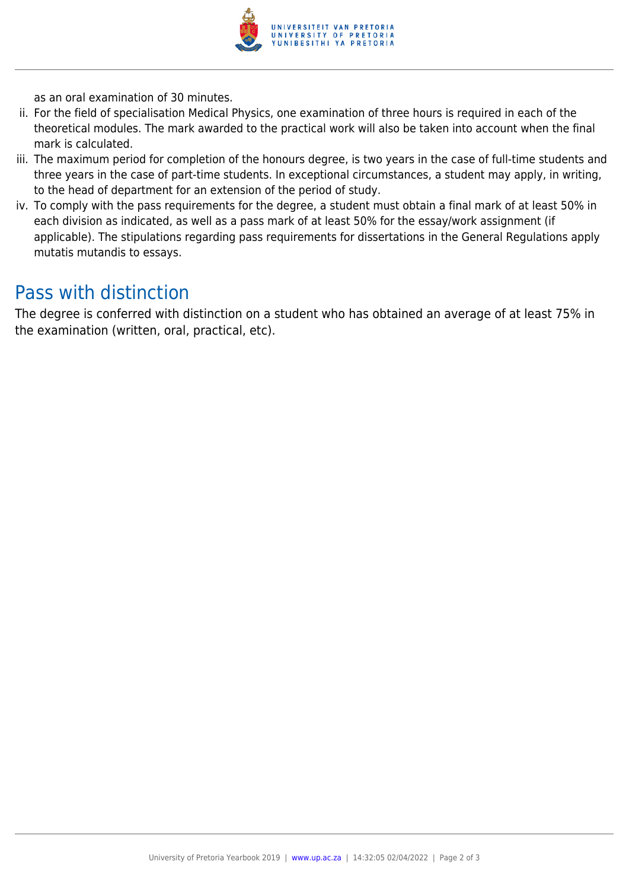

as an oral examination of 30 minutes.

- ii. For the field of specialisation Medical Physics, one examination of three hours is required in each of the theoretical modules. The mark awarded to the practical work will also be taken into account when the final mark is calculated.
- iii. The maximum period for completion of the honours degree, is two years in the case of full-time students and three years in the case of part-time students. In exceptional circumstances, a student may apply, in writing, to the head of department for an extension of the period of study.
- iv. To comply with the pass requirements for the degree, a student must obtain a final mark of at least 50% in each division as indicated, as well as a pass mark of at least 50% for the essay/work assignment (if applicable). The stipulations regarding pass requirements for dissertations in the General Regulations apply mutatis mutandis to essays.

#### Pass with distinction

The degree is conferred with distinction on a student who has obtained an average of at least 75% in the examination (written, oral, practical, etc).